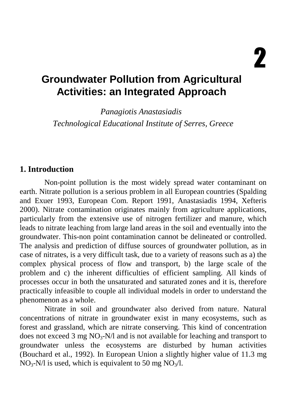# **Groundwater Pollution from Agricultural Activities: an Integrated Approach**

*Panagiotis Anastasiadis Technological Educational Institute of Serres, Greece* 

#### **1. Introduction**

Non-point pollution is the most widely spread water contaminant on earth. Nitrate pollution is a serious problem in all European countries (Spalding and Exuer 1993, European Com. Report 1991, Anastasiadis 1994, Xefteris 2000). Nitrate contamination originates mainly from agriculture applications, particularly from the extensive use of nitrogen fertilizer and manure, which leads to nitrate leaching from large land areas in the soil and eventually into the groundwater. This-non point contamination cannot be delineated or controlled. The analysis and prediction of diffuse sources of groundwater pollution, as in case of nitrates, is a very difficult task, due to a variety of reasons such as a) the complex physical process of flow and transport, b) the large scale of the problem and c) the inherent difficulties of efficient sampling. All kinds of processes occur in both the unsaturated and saturated zones and it is, therefore practically infeasible to couple all individual models in order to understand the phenomenon as a whole.

Nitrate in soil and groundwater also derived from nature. Natural concentrations of nitrate in groundwater exist in many ecosystems, such as forest and grassland, which are nitrate conserving. This kind of concentration does not exceed 3 mg  $NO<sub>3</sub>-N/l$  and is not available for leaching and transport to groundwater unless the ecosystems are disturbed by human activities (Bouchard et al., 1992). In European Union a slightly higher value of 11.3 mg  $NO_3-N/l$  is used, which is equivalent to 50 mg  $NO_3/l$ .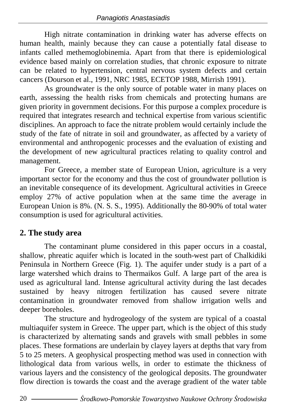High nitrate contamination in drinking water has adverse effects on human health, mainly because they can cause a potentially fatal disease to infants called methemoglobinemia. Apart from that there is epidemiological evidence based mainly on correlation studies, that chronic exposure to nitrate can be related to hypertension, central nervous system defects and certain cancers (Dourson et al., 1991, NRC 1985, ECETOP 1988, Mirrish 1991).

As groundwater is the only source of potable water in many places on earth, assessing the health risks from chemicals and protecting humans are given priority in government decisions. For this purpose a complex procedure is required that integrates research and technical expertise from various scientific disciplines. An approach to face the nitrate problem would certainly include the study of the fate of nitrate in soil and groundwater, as affected by a variety of environmental and anthropogenic processes and the evaluation of existing and the development of new agricultural practices relating to quality control and management.

For Greece, a member state of European Union, agriculture is a very important sector for the economy and thus the cost of groundwater pollution is an inevitable consequence of its development. Agricultural activities in Greece employ 27% of active population when at the same time the average in European Union is 8%. (N. S. S., 1995). Additionally the 80-90% of total water consumption is used for agricultural activities.

### **2. The study area**

The contaminant plume considered in this paper occurs in a coastal, shallow, phreatic aquifer which is located in the south-west part of Chalkidiki Peninsula in Northern Greece (Fig. 1). The aquifer under study is a part of a large watershed which drains to Thermaikos Gulf. A large part of the area is used as agricultural land. Intense agricultural activity during the last decades sustained by heavy nitrogen fertilization has caused severe nitrate contamination in groundwater removed from shallow irrigation wells and deeper boreholes.

The structure and hydrogeology of the system are typical of a coastal multiaquifer system in Greece. The upper part, which is the object of this study is characterized by alternating sands and gravels with small pebbles in some places. These formations are underlain by clayey layers at depths that vary from 5 to 25 meters. A geophysical prospecting method was used in connection with lithological data from various wells, in order to estimate the thickness of various layers and the consistency of the geological deposits. The groundwater flow direction is towards the coast and the average gradient of the water table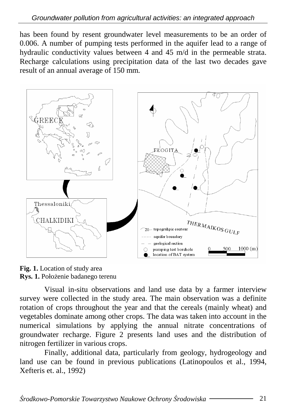has been found by resent groundwater level measurements to be an order of 0.006. A number of pumping tests performed in the aquifer lead to a range of hydraulic conductivity values between 4 and 45 m/d in the permeable strata. Recharge calculations using precipitation data of the last two decades gave result of an annual average of 150 mm.



**Fig. 1.** Location of study area Rys. 1. Położenie badanego terenu

Visual in-situ observations and land use data by a farmer interview survey were collected in the study area. The main observation was a definite rotation of crops throughout the year and that the cereals (mainly wheat) and vegetables dominate among other crops. The data was taken into account in the numerical simulations by applying the annual nitrate concentrations of groundwater recharge. Figure 2 presents land uses and the distribution of nitrogen fertilizer in various crops.

Finally, additional data, particularly from geology, hydrogeology and land use can be found in previous publications (Latinopoulos et al., 1994, Xefteris et. al., 1992)

Ś*rodkowo-Pomorskie Towarzystwo Naukowe Ochrony* Ś*rodowiska* 21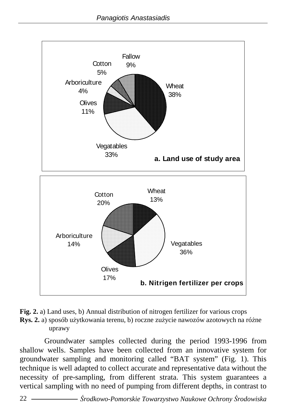



Groundwater samples collected during the period 1993-1996 from shallow wells. Samples have been collected from an innovative system for groundwater sampling and monitoring called "BAT system" (Fig. 1). This technique is well adapted to collect accurate and representative data without the necessity of pre-sampling, from different strata. This system guarantees a vertical sampling with no need of pumping from different depths, in contrast to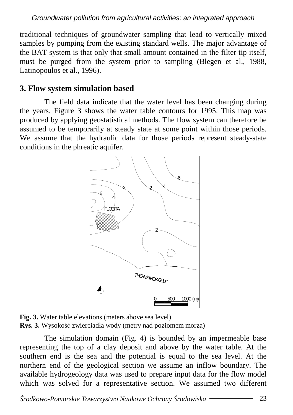traditional techniques of groundwater sampling that lead to vertically mixed samples by pumping from the existing standard wells. The major advantage of the BAT system is that only that small amount contained in the filter tip itself, must be purged from the system prior to sampling (Blegen et al., 1988, Latinopoulos et al., 1996).

#### **3. Flow system simulation based**

The field data indicate that the water level has been changing during the years. Figure 3 shows the water table contours for 1995. This map was produced by applying geostatistical methods. The flow system can therefore be assumed to be temporarily at steady state at some point within those periods. We assume that the hydraulic data for those periods represent steady-state conditions in the phreatic aquifer.



**Fig. 3.** Water table elevations (meters above sea level) **Rys. 3.** Wysokość zwierciadła wody (metry nad poziomem morza)

The simulation domain (Fig. 4) is bounded by an impermeable base representing the top of a clay deposit and above by the water table. At the southern end is the sea and the potential is equal to the sea level. At the northern end of the geological section we assume an inflow boundary. The available hydrogeology data was used to prepare input data for the flow model which was solved for a representative section. We assumed two different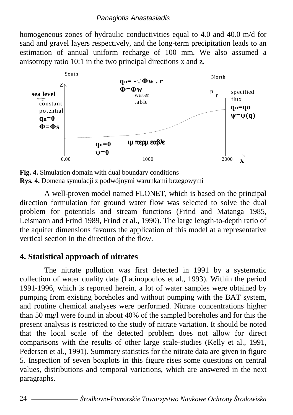homogeneous zones of hydraulic conductivities equal to 4.0 and 40.0 m/d for sand and gravel layers respectively, and the long-term precipitation leads to an estimation of annual uniform recharge of 100 mm. We also assumed a anisotropy ratio 10:1 in the two principal directions x and z.



**Fig. 4.** Simulation domain with dual boundary conditions **Rys. 4.** Domena symulacji z podwójnymi warunkami brzegowymi

A well-proven model named FLONET, which is based on the principal direction formulation for ground water flow was selected to solve the dual problem for potentials and stream functions (Frind and Matanga 1985, Leismann and Frind 1989, Frind et al., 1990). The large length-to-depth ratio of the aquifer dimensions favours the application of this model at a representative vertical section in the direction of the flow.

### **4. Statistical approach of nitrates**

The nitrate pollution was first detected in 1991 by a systematic collection of water quality data (Latinopoulos et al., 1993). Within the period 1991-1996, which is reported herein, a lot of water samples were obtained by pumping from existing boreholes and without pumping with the BAT system, and routine chemical analyses were performed. Nitrate concentrations higher than 50 mg/l were found in about 40% of the sampled boreholes and for this the present analysis is restricted to the study of nitrate variation. It should be noted that the local scale of the detected problem does not allow for direct comparisons with the results of other large scale-studies (Kelly et al., 1991, Pedersen et al., 1991). Summary statistics for the nitrate data are given in figure 5. Inspection of seven boxplots in this figure rises some questions on central values, distributions and temporal variations, which are answered in the next paragraphs.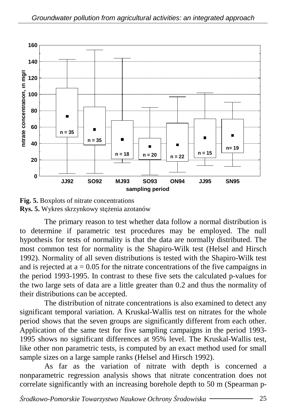

**Fig. 5.** Boxplots of nitrate concentrations **Rys. 5.** Wykres skrzynkowy stężenia azotanów

The primary reason to test whether data follow a normal distribution is to determine if parametric test procedures may be employed. The null hypothesis for tests of normality is that the data are normally distributed. The most common test for normality is the Shapiro-Wilk test (Helsel and Hirsch 1992). Normality of all seven distributions is tested with the Shapiro-Wilk test and is rejected at  $a = 0.05$  for the nitrate concentrations of the five campaigns in the period 1993-1995. In contrast to these five sets the calculated p-values for the two large sets of data are a little greater than 0.2 and thus the normality of their distributions can be accepted.

The distribution of nitrate concentrations is also examined to detect any significant temporal variation. A Kruskal-Wallis test on nitrates for the whole period shows that the seven groups are significantly different from each other. Application of the same test for five sampling campaigns in the period 1993- 1995 shows no significant differences at 95% level. The Kruskal-Wallis test, like other non parametric tests, is computed by an exact method used for small sample sizes on a large sample ranks (Helsel and Hirsch 1992).

As far as the variation of nitrate with depth is concerned a nonparametric regression analysis shows that nitrate concentration does not correlate significantly with an increasing borehole depth to 50 m (Spearman p-

Ś*rodkowo-Pomorskie Towarzystwo Naukowe Ochrony* Ś*rodowiska* 25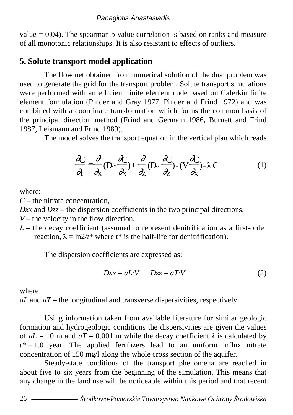value  $= 0.04$ ). The spearman p-value correlation is based on ranks and measure of all monotonic relationships. It is also resistant to effects of outliers.

## **5. Solute transport model application**

The flow net obtained from numerical solution of the dual problem was used to generate the grid for the transport problem. Solute transport simulations were performed with an efficient finite element code based on Galerkin finite element formulation (Pinder and Gray 1977, Pinder and Frind 1972) and was combined with a coordinate transformation which forms the common basis of the principal direction method (Frind and Germain 1986, Burnett and Frind 1987, Leismann and Frind 1989).

The model solves the transport equation in the vertical plan which reads

$$
\frac{\partial C}{\partial t} = \frac{\partial}{\partial x} (D_x \frac{\partial C}{\partial x}) + \frac{\partial}{\partial z} (D_z \frac{\partial C}{\partial z}) - (V \frac{\partial C}{\partial x}) - \lambda C \tag{1}
$$

where:

*C* – the nitrate concentration,

*Dxx* and *Dzz* – the dispersion coefficients in the two principal directions,

 $V$  – the velocity in the flow direction,

 $\lambda$  – the decay coefficient (assumed to represent denitrification as a first-order reaction,  $\lambda = \ln 2/t^*$  where  $t^*$  is the half-life for denitrification).

The dispersion coefficients are expressed as:

$$
Dxx = aL \cdot V \qquad Dzz = aT \cdot V \tag{2}
$$

where

*aL* and *aT* – the longitudinal and transverse dispersivities, respectively.

Using information taken from available literature for similar geologic formation and hydrogeologic conditions the dispersivities are given the values of  $aL = 10$  m and  $aT = 0.001$  m while the decay coefficient  $\lambda$  is calculated by  $t^* = 1.0$  year. The applied fertilizers lead to an uniform influx nitrate concentration of 150 mg/l along the whole cross section of the aquifer.

Steady-state conditions of the transport phenomena are reached in about five to six years from the beginning of the simulation. This means that any change in the land use will be noticeable within this period and that recent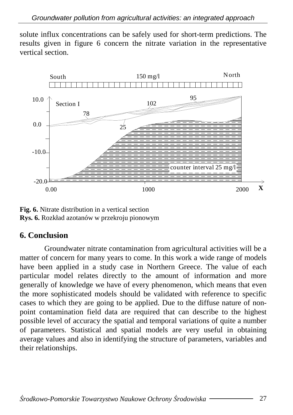solute influx concentrations can be safely used for short-term predictions. The results given in figure 6 concern the nitrate variation in the representative vertical section.



**Fig. 6.** Nitrate distribution in a vertical section **Rys. 6.** Rozkład azotanów w przekroju pionowym

#### **6. Conclusion**

Groundwater nitrate contamination from agricultural activities will be a matter of concern for many years to come. In this work a wide range of models have been applied in a study case in Northern Greece. The value of each particular model relates directly to the amount of information and more generally of knowledge we have of every phenomenon, which means that even the more sophisticated models should be validated with reference to specific cases to which they are going to be applied. Due to the diffuse nature of nonpoint contamination field data are required that can describe to the highest possible level of accuracy the spatial and temporal variations of quite a number of parameters. Statistical and spatial models are very useful in obtaining average values and also in identifying the structure of parameters, variables and their relationships.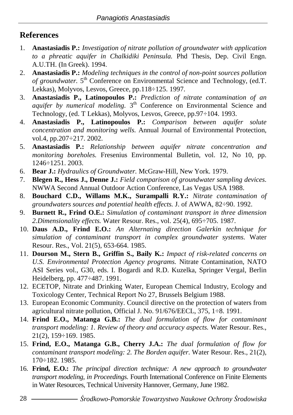## **References**

- 1. **Anastasiadis P.:** *Investigation of nitrate pollution of groundwater with application to a phreatic aquifer in Chalkidiki Peninsula.* Phd Thesis, Dep. Civil Engn. A.U.TH. (In Greek). 1994.
- 2. **Anastasiadis P.:** *Modeling techniques in the control of non-point sources pollution of groundwater.* 5<sup>th</sup> Conference on Environmental Science and Technology, (ed.T. Lekkas), Molyvos, Lesvos, Greece, pp.118÷125. 1997.
- 3. **Anastasiadis P., Latinopoulos P.:** *Prediction of nitrate contamination of an aquifer by numerical modeling.* 3<sup>th</sup> Conference on Environmental Science and Technology, (ed. T Lekkas), Molyvos, Lesvos, Greece, pp.97÷104. 1993.
- 4. **Anastasiadis P., Latinopoulos P.:** *Comparison between aquifer solute concentration and monitoring wells.* Annual Journal of Environmental Protection, vol.4, pp.207÷217. 2002.
- 5. **Anastasiadis P.:** *Relationship between aquifer nitrate concentration and monitoring boreholes.* Fresenius Environmental Bulletin, vol. 12, No 10, pp. 1246÷1251. 2003.
- 6. **Bear J.:** *Hydraulics of Groundwater.* McGraw-Hill, New York. 1979.
- 7. **Blegen R., Hess J., Denne J.:** *Field comparison of groundwater sampling devices*. NWWA Second Annual Outdoor Action Conference, Las Vegas USA 1988.
- 8. **Bouchard C.D., Willams M.K., Surampalli R.Y.:** *Nitrate contamination of groundwaters sources and potential health effects.* J. of AWWA, 82÷90. 1992.
- 9. **Burnett R., Frind O.E.:** *Simulation of contaminant transport in three dimension 2.Dimensionality effects.* Water Resour. Res., vol. 25(4), 695÷705. 1987.
- 10. **Daus A.D., Frind E.O.:** *An Alternating direction Galerkin technique for simulation of contaminant transport in complex groundwater systems.* Water Resour. Res., Vol. 21(5), 653-664. 1985.
- 11. **Dourson M., Stern B., Griffin S., Baily K.:** *Impact of risk-related concerns on U.S. Environmental Protection Agency programs.* Nitrate Contamination, NATO ASI Series vol., G30, eds. I. Bogardi and R.D. Kuzelka, Springer Vergal, Berlin Heidelberg, pp. 477÷487. 1991.
- 12. ECETOP, Nitrate and Drinking Water, European Chemical Industry, Ecology and Toxicology Center, Technical Report No 27, Brussels Belgium 1988.
- 13. European Economic Community. Council directive on the protection of waters from agricultural nitrate pollution, Official J. No. 91/676/EECL, 375, 1÷8. 1991.
- 14. **Frind E.O., Matanga G.B.:** *The dual formulation of flow for contaminant transport modeling: 1. Review of theory and accuracy aspects.* Water Resour. Res., 21(2), 159÷169. 1985.
- 15. **Frind, E.O., Matanga G.B., Cherry J.A.:** *The dual formulation of flow for contaminant transport modeling: 2. The Borden aquifer.* Water Resour. Res., 21(2), 170÷182. 1985.
- 16. **Frind, E.O.:** *The principal direction technique: A new approach to groundwater transport modeling, in Proceedings.* Fourth International Conference on Finite Elements in Water Resources, Technical University Hannover, Germany, June 1982.
- 28 Ś*rodkowo-Pomorskie Towarzystwo Naukowe Ochrony* Ś*rodowiska*
-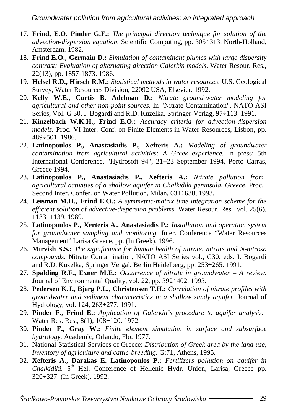- 17. **Frind, E.O. Pinder G.F.:** *The principal direction technique for solution of the advection-dispersion equation.* Scientific Computing, pp. 305÷313, North-Holland, Amsterdam. 1982.
- 18. **Frind E.O., Germain D.:** *Simulation of contaminant plumes with large dispersity contrast: Evaluation of alternating direction Galerkin models.* Water Resour. Res., 22(13), pp. 1857-1873. 1986.
- 19. **Helsel R.D., Hirsch R.M.:** *Statistical methods in water resources*. U.S. Geological Survey, Water Resources Division, 22092 USA, Elsevier. 1992.
- 20. **Kelly W.E., Curtis B. Adelman D.:** *Nitrate ground-water modeling for agricultural and other non-point sources.* In "Nitrate Contamination", NATO ASI Series, Vol. G 30, I. Bogardi and R.D. Kuzelka, Springer-Verlag, 97÷113. 1991.
- 21. **Kinzelbach W.K.H., Frind E.O.:** *Accuracy criteria for advection-dispersion models.* Proc. VI Inter. Conf. on Finite Elements in Water Resources, Lisbon, pp. 489÷501. 1986.
- 22. **Latinopoulos P., Anastasiadis P., Xefteris A.:** *Modeling of groundwater contamination from agricultural activities: A Greek experience.* In press: 5th International Conference, "Hydrosoft 94", 21÷23 September 1994, Porto Carras, Greece 1994.
- 23. **Latinopoulos P., Anastasiadis P., Xefteris A.:** *Nitrate pollution from agricultural activities of a shallow aquifer in Chalkidiki peninsula*, *Greece*. Proc. Second Inter. Confer. on Water Pollution, Milan, 631÷638, 1993.
- 24. **Leisman M.H., Frind E.O.:** *A symmetric-matrix time integration scheme for the efficient solution of advective-dispersion problems.* Water Resour. Res., vol. 25(6), 1133÷1139. 1989.
- 25. **Latinopoulos P., Xerteris A., Anastasiadis P.:** *Installation and operation system for groundwater sampling and monitoring.* Inter. Conference "Water Resources Management" Larisa Greece, pp. (In Greek). 1996.
- 26. **Mirvish S.S.:** *The significance for human health of nitrate, nitrate and N-nitroso compounds.* Nitrate Contamination, NATO ASI Series vol., G30, eds. I. Bogardi and R.D. Kuzelka, Springer Vergal, Berlin Heidelberg, pp. 253÷265. 1991.
- 27. **Spalding R.F., Exner M.E.:** *Occurrence of nitrate in groundwater A review.* Journal of Environmental Quality, vol. 22, pp. 392÷402. 1993.
- 28. **Pedersen K.J., Bjerg P.L., Christensen T.H.:** *Correlation of nitrate profiles with groundwater and sediment characteristics in a shallow sandy aquifer.* Journal of Hydrology, vol. 124, 263÷277. 1991.
- 29. **Pinder F., Frind E.:** *Application of Galerkin's procedure to aquifer analysis.* Water Res. Res., 8(1), 108÷120. 1972.
- 30. **Pinder F., Gray W.:** *Finite element simulation in surface and subsurface hydrology.* Academic, Orlando, Flo. 1977.
- 31. National Statistical Services of Greece: *Distribution of Greek area by the land use, Inventory of agriculture and cattle-breeding.* G:71, Athens, 1995.
- 32. **Xefteris A., Darakas E. Latinopoulos P.:** *Fertilizers pollution on aquifer in*  Chalkidiki. 5<sup>th</sup> Hel. Conference of Hellenic Hydr. Union, Larisa, Greece pp. 320÷327. (In Greek). 1992.